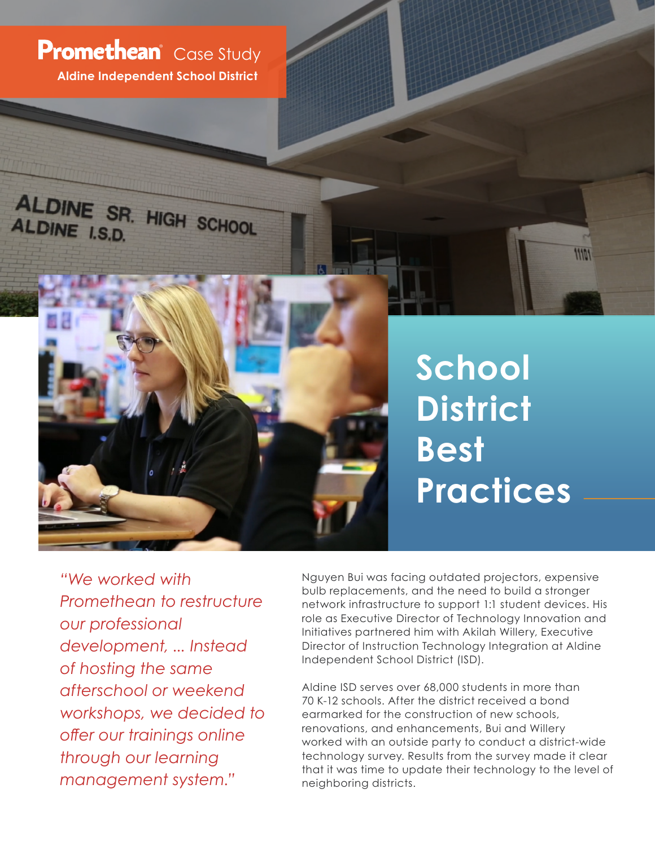**Aldine Independent School District Promethean** Case Study

ALDINE SR. HIGH SCHOOL

ALDINE I.S.D.



11101

*"We worked with Promethean to restructure our professional development, ... Instead of hosting the same afterschool or weekend workshops, we decided to offer our trainings online through our learning management system."*

Nguyen Bui was facing outdated projectors, expensive bulb replacements, and the need to build a stronger network infrastructure to support 1:1 student devices. His role as Executive Director of Technology Innovation and Initiatives partnered him with Akilah Willery, Executive Director of Instruction Technology Integration at Aldine Independent School District (ISD).

Aldine ISD serves over 68,000 students in more than 70 K-12 schools. After the district received a bond earmarked for the construction of new schools, renovations, and enhancements, Bui and Willery worked with an outside party to conduct a district-wide technology survey. Results from the survey made it clear that it was time to update their technology to the level of neighboring districts.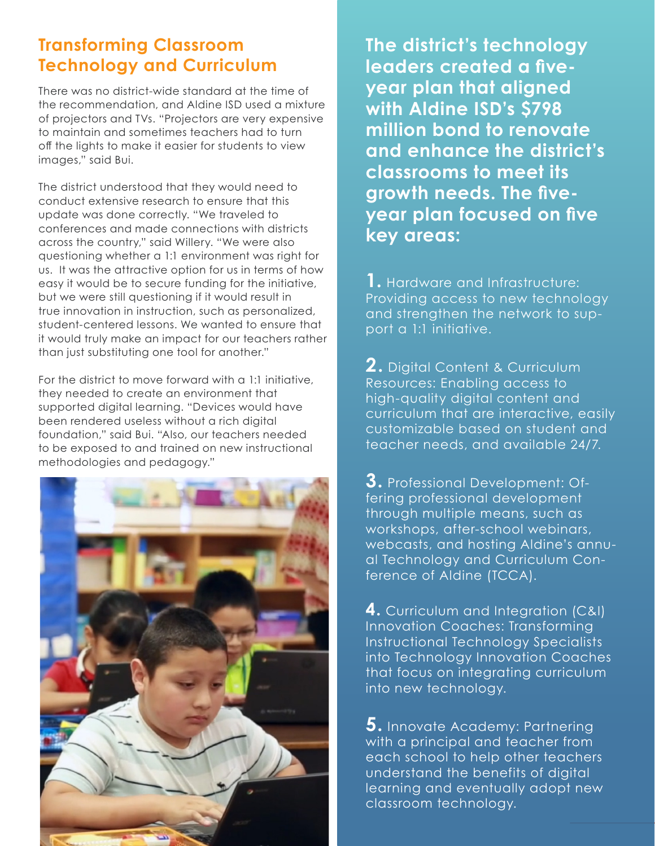## **Transforming Classroom Technology and Curriculum**

There was no district-wide standard at the time of the recommendation, and Aldine ISD used a mixture of projectors and TVs. "Projectors are very expensive to maintain and sometimes teachers had to turn off the lights to make it easier for students to view images," said Bui.

The district understood that they would need to conduct extensive research to ensure that this update was done correctly. "We traveled to conferences and made connections with districts across the country," said Willery. "We were also questioning whether a 1:1 environment was right for us. It was the attractive option for us in terms of how easy it would be to secure funding for the initiative, but we were still questioning if it would result in true innovation in instruction, such as personalized, student-centered lessons. We wanted to ensure that it would truly make an impact for our teachers rather than just substituting one tool for another."

For the district to move forward with a 1:1 initiative, they needed to create an environment that supported digital learning. "Devices would have been rendered useless without a rich digital foundation," said Bui. "Also, our teachers needed to be exposed to and trained on new instructional methodologies and pedagogy."



**The district's technology leaders created a fiveyear plan that aligned with Aldine ISD's \$798 million bond to renovate and enhance the district's classrooms to meet its growth needs. The fiveyear plan focused on five key areas:**

**1.** Hardware and Infrastructure: Providing access to new technology and strengthen the network to support a 1:1 initiative.

**2.** Digital Content & Curriculum Resources: Enabling access to high-quality digital content and curriculum that are interactive, easily customizable based on student and teacher needs, and available 24/7.

**3.** Professional Development: Offering professional development through multiple means, such as workshops, after-school webinars, webcasts, and hosting Aldine's annual Technology and Curriculum Conference of Aldine (TCCA).

**4.** Curriculum and Integration (C&I) Innovation Coaches: Transforming Instructional Technology Specialists into Technology Innovation Coaches that focus on integrating curriculum into new technology.

**5.** Innovate Academy: Partnering with a principal and teacher from each school to help other teachers understand the benefits of digital learning and eventually adopt new classroom technology.